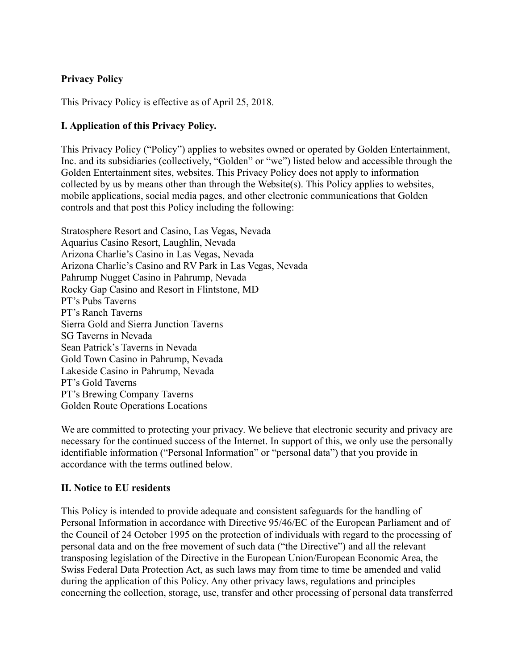## **Privacy Policy**

This Privacy Policy is effective as of April 25, 2018.

#### **I. Application of this Privacy Policy.**

This Privacy Policy ("Policy") applies to websites owned or operated by Golden Entertainment, Inc. and its subsidiaries (collectively, "Golden" or "we") listed below and accessible through the Golden Entertainment sites, websites. This Privacy Policy does not apply to information collected by us by means other than through the Website(s). This Policy applies to websites, mobile applications, social media pages, and other electronic communications that Golden controls and that post this Policy including the following:

Stratosphere Resort and Casino, Las Vegas, Nevada Aquarius Casino Resort, Laughlin, Nevada Arizona Charlie's Casino in Las Vegas, Nevada Arizona Charlie's Casino and RV Park in Las Vegas, Nevada Pahrump Nugget Casino in Pahrump, Nevada Rocky Gap Casino and Resort in Flintstone, MD PT's Pubs Taverns PT's Ranch Taverns Sierra Gold and Sierra Junction Taverns SG Taverns in Nevada Sean Patrick's Taverns in Nevada Gold Town Casino in Pahrump, Nevada Lakeside Casino in Pahrump, Nevada PT's Gold Taverns PT's Brewing Company Taverns Golden Route Operations Locations

We are committed to protecting your privacy. We believe that electronic security and privacy are necessary for the continued success of the Internet. In support of this, we only use the personally identifiable information ("Personal Information" or "personal data") that you provide in accordance with the terms outlined below.

#### **II. Notice to EU residents**

This Policy is intended to provide adequate and consistent safeguards for the handling of Personal Information in accordance with Directive 95/46/EC of the European Parliament and of the Council of 24 October 1995 on the protection of individuals with regard to the processing of personal data and on the free movement of such data ("the Directive") and all the relevant transposing legislation of the Directive in the European Union/European Economic Area, the Swiss Federal Data Protection Act, as such laws may from time to time be amended and valid during the application of this Policy. Any other privacy laws, regulations and principles concerning the collection, storage, use, transfer and other processing of personal data transferred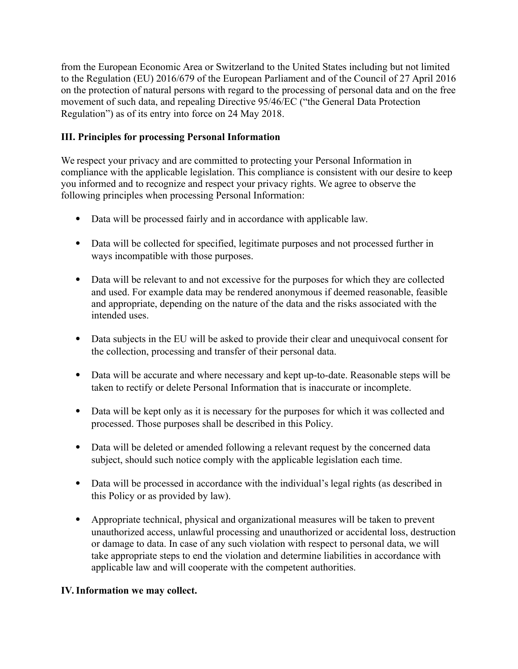from the European Economic Area or Switzerland to the United States including but not limited to the Regulation (EU) 2016/679 of the European Parliament and of the Council of 27 April 2016 on the protection of natural persons with regard to the processing of personal data and on the free movement of such data, and repealing Directive 95/46/EC ("the General Data Protection Regulation") as of its entry into force on 24 May 2018.

## **III. Principles for processing Personal Information**

We respect your privacy and are committed to protecting your Personal Information in compliance with the applicable legislation. This compliance is consistent with our desire to keep you informed and to recognize and respect your privacy rights. We agree to observe the following principles when processing Personal Information:

- Data will be processed fairly and in accordance with applicable law.
- Data will be collected for specified, legitimate purposes and not processed further in ways incompatible with those purposes.
- Data will be relevant to and not excessive for the purposes for which they are collected and used. For example data may be rendered anonymous if deemed reasonable, feasible and appropriate, depending on the nature of the data and the risks associated with the intended uses.
- Data subjects in the EU will be asked to provide their clear and unequivocal consent for the collection, processing and transfer of their personal data.
- Data will be accurate and where necessary and kept up-to-date. Reasonable steps will be taken to rectify or delete Personal Information that is inaccurate or incomplete.
- Data will be kept only as it is necessary for the purposes for which it was collected and processed. Those purposes shall be described in this Policy.
- Data will be deleted or amended following a relevant request by the concerned data subject, should such notice comply with the applicable legislation each time.
- Data will be processed in accordance with the individual's legal rights (as described in this Policy or as provided by law).
- Appropriate technical, physical and organizational measures will be taken to prevent unauthorized access, unlawful processing and unauthorized or accidental loss, destruction or damage to data. In case of any such violation with respect to personal data, we will take appropriate steps to end the violation and determine liabilities in accordance with applicable law and will cooperate with the competent authorities.

### **IV. Information we may collect.**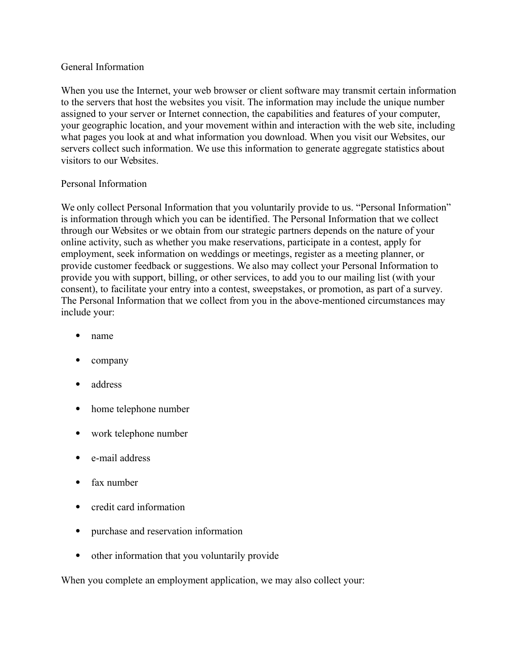#### General Information

When you use the Internet, your web browser or client software may transmit certain information to the servers that host the websites you visit. The information may include the unique number assigned to your server or Internet connection, the capabilities and features of your computer, your geographic location, and your movement within and interaction with the web site, including what pages you look at and what information you download. When you visit our Websites, our servers collect such information. We use this information to generate aggregate statistics about visitors to our Websites.

### Personal Information

We only collect Personal Information that you voluntarily provide to us. "Personal Information" is information through which you can be identified. The Personal Information that we collect through our Websites or we obtain from our strategic partners depends on the nature of your online activity, such as whether you make reservations, participate in a contest, apply for employment, seek information on weddings or meetings, register as a meeting planner, or provide customer feedback or suggestions. We also may collect your Personal Information to provide you with support, billing, or other services, to add you to our mailing list (with your consent), to facilitate your entry into a contest, sweepstakes, or promotion, as part of a survey. The Personal Information that we collect from you in the above-mentioned circumstances may include your:

- name
- company
- address
- home telephone number
- work telephone number
- e-mail address
- fax number
- credit card information
- purchase and reservation information
- other information that you voluntarily provide

When you complete an employment application, we may also collect your: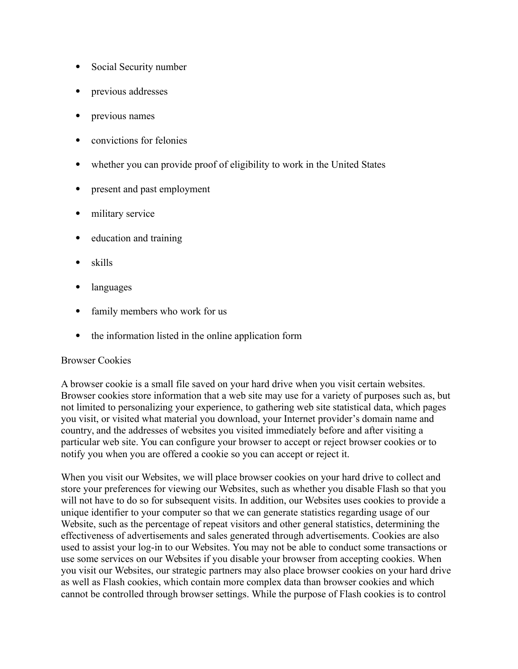- Social Security number
- previous addresses
- previous names
- convictions for felonies
- whether you can provide proof of eligibility to work in the United States
- present and past employment
- military service
- education and training
- skills
- languages
- family members who work for us
- the information listed in the online application form

### Browser Cookies

A browser cookie is a small file saved on your hard drive when you visit certain websites. Browser cookies store information that a web site may use for a variety of purposes such as, but not limited to personalizing your experience, to gathering web site statistical data, which pages you visit, or visited what material you download, your Internet provider's domain name and country, and the addresses of websites you visited immediately before and after visiting a particular web site. You can configure your browser to accept or reject browser cookies or to notify you when you are offered a cookie so you can accept or reject it.

When you visit our Websites, we will place browser cookies on your hard drive to collect and store your preferences for viewing our Websites, such as whether you disable Flash so that you will not have to do so for subsequent visits. In addition, our Websites uses cookies to provide a unique identifier to your computer so that we can generate statistics regarding usage of our Website, such as the percentage of repeat visitors and other general statistics, determining the effectiveness of advertisements and sales generated through advertisements. Cookies are also used to assist your log-in to our Websites. You may not be able to conduct some transactions or use some services on our Websites if you disable your browser from accepting cookies. When you visit our Websites, our strategic partners may also place browser cookies on your hard drive as well as Flash cookies, which contain more complex data than browser cookies and which cannot be controlled through browser settings. While the purpose of Flash cookies is to control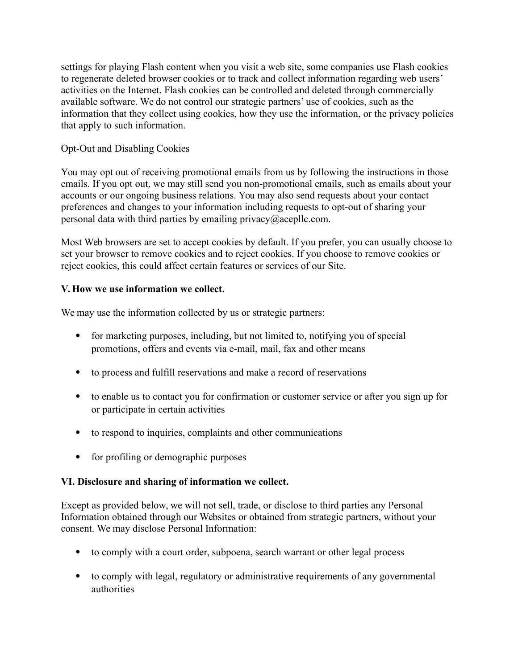settings for playing Flash content when you visit a web site, some companies use Flash cookies to regenerate deleted browser cookies or to track and collect information regarding web users' activities on the Internet. Flash cookies can be controlled and deleted through commercially available software. We do not control our strategic partners' use of cookies, such as the information that they collect using cookies, how they use the information, or the privacy policies that apply to such information.

### Opt-Out and Disabling Cookies

You may opt out of receiving promotional emails from us by following the instructions in those emails. If you opt out, we may still send you non-promotional emails, such as emails about your accounts or our ongoing business relations. You may also send requests about your contact preferences and changes to your information including requests to opt-out of sharing your personal data with third parties by emailing privacy@acepllc.com.

Most Web browsers are set to accept cookies by default. If you prefer, you can usually choose to set your browser to remove cookies and to reject cookies. If you choose to remove cookies or reject cookies, this could affect certain features or services of our Site.

### **V. How we use information we collect.**

We may use the information collected by us or strategic partners:

- for marketing purposes, including, but not limited to, notifying you of special promotions, offers and events via e-mail, mail, fax and other means
- to process and fulfill reservations and make a record of reservations
- to enable us to contact you for confirmation or customer service or after you sign up for or participate in certain activities
- to respond to inquiries, complaints and other communications
- for profiling or demographic purposes

### **VI. Disclosure and sharing of information we collect.**

Except as provided below, we will not sell, trade, or disclose to third parties any Personal Information obtained through our Websites or obtained from strategic partners, without your consent. We may disclose Personal Information:

- to comply with a court order, subpoena, search warrant or other legal process
- to comply with legal, regulatory or administrative requirements of any governmental authorities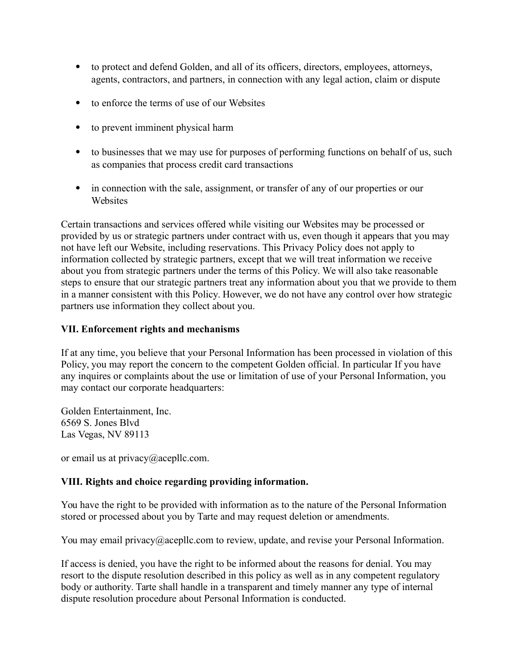- to protect and defend Golden, and all of its officers, directors, employees, attorneys, agents, contractors, and partners, in connection with any legal action, claim or dispute
- to enforce the terms of use of our Websites
- to prevent imminent physical harm
- to businesses that we may use for purposes of performing functions on behalf of us, such as companies that process credit card transactions
- in connection with the sale, assignment, or transfer of any of our properties or our Websites

Certain transactions and services offered while visiting our Websites may be processed or provided by us or strategic partners under contract with us, even though it appears that you may not have left our Website, including reservations. This Privacy Policy does not apply to information collected by strategic partners, except that we will treat information we receive about you from strategic partners under the terms of this Policy. We will also take reasonable steps to ensure that our strategic partners treat any information about you that we provide to them in a manner consistent with this Policy. However, we do not have any control over how strategic partners use information they collect about you.

#### **VII. Enforcement rights and mechanisms**

If at any time, you believe that your Personal Information has been processed in violation of this Policy, you may report the concern to the competent Golden official. In particular If you have any inquires or complaints about the use or limitation of use of your Personal Information, you may contact our corporate headquarters:

Golden Entertainment, Inc. 6569 S. Jones Blvd Las Vegas, NV 89113

or email us at privacy@acepllc.com.

### **VIII. Rights and choice regarding providing information.**

You have the right to be provided with information as to the nature of the Personal Information stored or processed about you by Tarte and may request deletion or amendments.

You may email privacy@acepllc.com to review, update, and revise your Personal Information.

If access is denied, you have the right to be informed about the reasons for denial. You may resort to the dispute resolution described in this policy as well as in any competent regulatory body or authority. Tarte shall handle in a transparent and timely manner any type of internal dispute resolution procedure about Personal Information is conducted.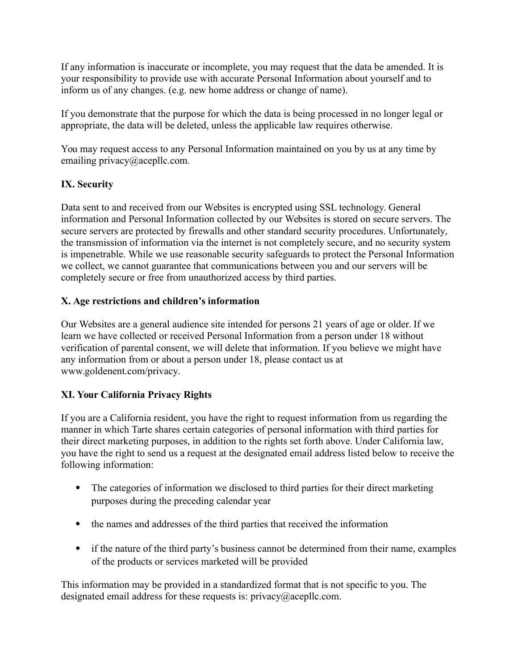If any information is inaccurate or incomplete, you may request that the data be amended. It is your responsibility to provide use with accurate Personal Information about yourself and to inform us of any changes. (e.g. new home address or change of name).

If you demonstrate that the purpose for which the data is being processed in no longer legal or appropriate, the data will be deleted, unless the applicable law requires otherwise.

You may request access to any Personal Information maintained on you by us at any time by emailing privacy@acepllc.com.

# **IX. Security**

Data sent to and received from our Websites is encrypted using SSL technology. General information and Personal Information collected by our Websites is stored on secure servers. The secure servers are protected by firewalls and other standard security procedures. Unfortunately, the transmission of information via the internet is not completely secure, and no security system is impenetrable. While we use reasonable security safeguards to protect the Personal Information we collect, we cannot guarantee that communications between you and our servers will be completely secure or free from unauthorized access by third parties.

### **X. Age restrictions and children's information**

Our Websites are a general audience site intended for persons 21 years of age or older. If we learn we have collected or received Personal Information from a person under 18 without verification of parental consent, we will delete that information. If you believe we might have any information from or about a person under 18, please contact us at www.goldenent.com/privacy.

# **XI. Your California Privacy Rights**

If you are a California resident, you have the right to request information from us regarding the manner in which Tarte shares certain categories of personal information with third parties for their direct marketing purposes, in addition to the rights set forth above. Under California law, you have the right to send us a request at the designated email address listed below to receive the following information:

- The categories of information we disclosed to third parties for their direct marketing purposes during the preceding calendar year
- the names and addresses of the third parties that received the information
- if the nature of the third party's business cannot be determined from their name, examples of the products or services marketed will be provided

This information may be provided in a standardized format that is not specific to you. The designated email address for these requests is: privacy@acepllc.com.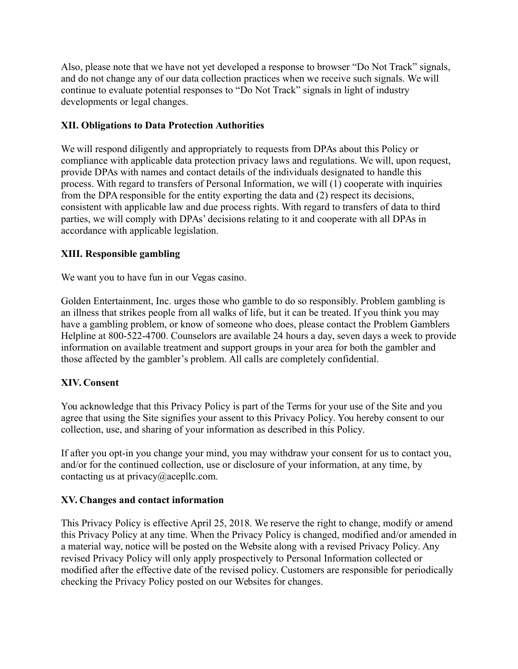Also, please note that we have not yet developed a response to browser "Do Not Track" signals, and do not change any of our data collection practices when we receive such signals. We will continue to evaluate potential responses to "Do Not Track" signals in light of industry developments or legal changes.

### **XII. Obligations to Data Protection Authorities**

We will respond diligently and appropriately to requests from DPAs about this Policy or compliance with applicable data protection privacy laws and regulations. We will, upon request, provide DPAs with names and contact details of the individuals designated to handle this process. With regard to transfers of Personal Information, we will (1) cooperate with inquiries from the DPA responsible for the entity exporting the data and (2) respect its decisions, consistent with applicable law and due process rights. With regard to transfers of data to third parties, we will comply with DPAs' decisions relating to it and cooperate with all DPAs in accordance with applicable legislation.

### **XIII. Responsible gambling**

We want you to have fun in our Vegas casino.

Golden Entertainment, Inc. urges those who gamble to do so responsibly. Problem gambling is an illness that strikes people from all walks of life, but it can be treated. If you think you may have a gambling problem, or know of someone who does, please contact the Problem Gamblers Helpline at 800-522-4700. Counselors are available 24 hours a day, seven days a week to provide information on available treatment and support groups in your area for both the gambler and those affected by the gambler's problem. All calls are completely confidential.

# **XIV. Consent**

You acknowledge that this Privacy Policy is part of the Terms for your use of the Site and you agree that using the Site signifies your assent to this Privacy Policy. You hereby consent to our collection, use, and sharing of your information as described in this Policy.

If after you opt-in you change your mind, you may withdraw your consent for us to contact you, and/or for the continued collection, use or disclosure of your information, at any time, by contacting us at privacy@acepllc.com.

# **XV. Changes and contact information**

This Privacy Policy is effective April 25, 2018. We reserve the right to change, modify or amend this Privacy Policy at any time. When the Privacy Policy is changed, modified and/or amended in a material way, notice will be posted on the Website along with a revised Privacy Policy. Any revised Privacy Policy will only apply prospectively to Personal Information collected or modified after the effective date of the revised policy. Customers are responsible for periodically checking the Privacy Policy posted on our Websites for changes.